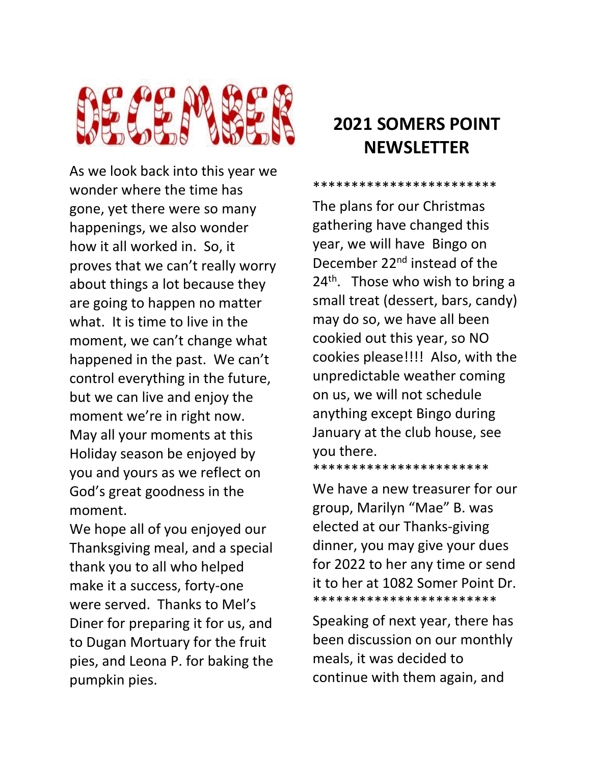

As we look back into this year we wonder where the time has gone, yet there were so many happenings, we also wonder how it all worked in. So, it proves that we can't really worry about things a lot because they are going to happen no matter what. It is time to live in the moment, we can't change what happened in the past. We can't control everything in the future, but we can live and enjoy the moment we're in right now. May all your moments at this Holiday season be enjoyed by you and yours as we reflect on God's great goodness in the moment.

We hope all of you enjoyed our Thanksgiving meal, and a special thank you to all who helped make it a success, forty-one were served. Thanks to Mel's Diner for preparing it for us, and to Dugan Mortuary for the fruit pies, and Leona P. for baking the pumpkin pies.

## **2021 SOMERS POINT NEWSLETTER**

\*\*\*\*\*\*\*\*\*\*\*\*\*\*\*\*\*\*\*\*\*\*

The plans for our Christmas gathering have changed this year, we will have Bingo on December 22nd instead of the  $24<sup>th</sup>$ . Those who wish to bring a small treat (dessert, bars, candy) may do so, we have all been cookied out this year, so NO cookies please!!!! Also, with the unpredictable weather coming on us, we will not schedule anything except Bingo during January at the club house, see you there.

\*\*\*\*\*\*\*\*\*\*\*\*\*\*\*\*\*\*\*\*\*\*\*

We have a new treasurer for our group, Marilyn "Mae" B. was elected at our Thanks-giving dinner, you may give your dues for 2022 to her any time or send it to her at 1082 Somer Point Dr. \*\*\*\*\*\*\*\*\*\*\*\*\*\*\*\*\*\*\*\*\*\*\*\*

Speaking of next year, there has been discussion on our monthly meals, it was decided to continue with them again, and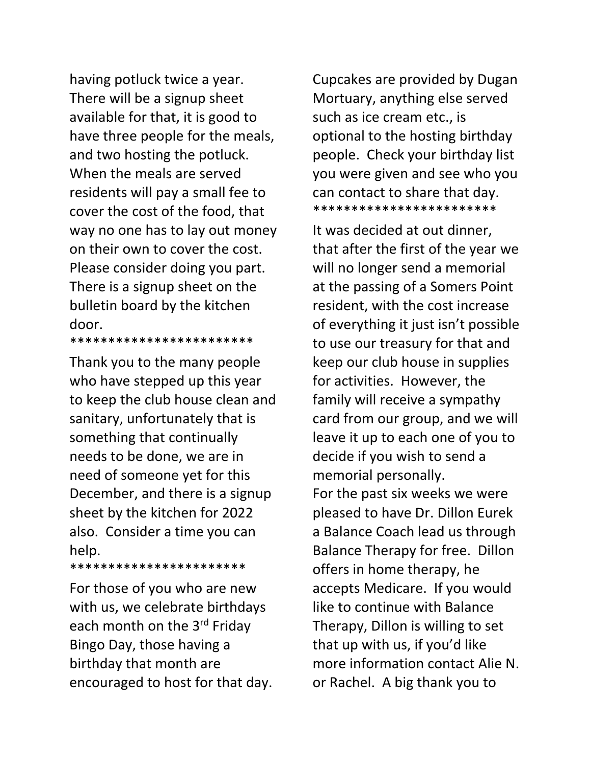having potluck twice a year. There will be a signup sheet available for that, it is good to have three people for the meals, and two hosting the potluck. When the meals are served residents will pay a small fee to cover the cost of the food, that way no one has to lay out money on their own to cover the cost. Please consider doing you part. There is a signup sheet on the bulletin board by the kitchen door. \*\*\*\*\*\*\*\*\*\*\*\*\*\*\*\*\*\*\*\*\*\*\*\*

Thank you to the many people who have stepped up this year to keep the club house clean and sanitary, unfortunately that is something that continually needs to be done, we are in need of someone yet for this December, and there is a signup sheet by the kitchen for 2022 also. Consider a time you can help.

\*\*\*\*\*\*\*\*\*\*\*\*\*\*\*\*\*\*\*\*\*\*\*

For those of you who are new with us, we celebrate birthdays each month on the 3rd Friday Bingo Day, those having a birthday that month are encouraged to host for that day.

Cupcakes are provided by Dugan Mortuary, anything else served such as ice cream etc., is optional to the hosting birthday people. Check your birthday list you were given and see who you can contact to share that day. \*\*\*\*\*\*\*\*\*\*\*\*\*\*\*\*\*\*\*\*\*\*\*\*

It was decided at out dinner, that after the first of the year we will no longer send a memorial at the passing of a Somers Point resident, with the cost increase of everything it just isn't possible to use our treasury for that and keep our club house in supplies for activities. However, the family will receive a sympathy card from our group, and we will leave it up to each one of you to decide if you wish to send a memorial personally. For the past six weeks we were pleased to have Dr. Dillon Eurek a Balance Coach lead us through Balance Therapy for free. Dillon offers in home therapy, he accepts Medicare. If you would like to continue with Balance Therapy, Dillon is willing to set that up with us, if you'd like more information contact Alie N. or Rachel. A big thank you to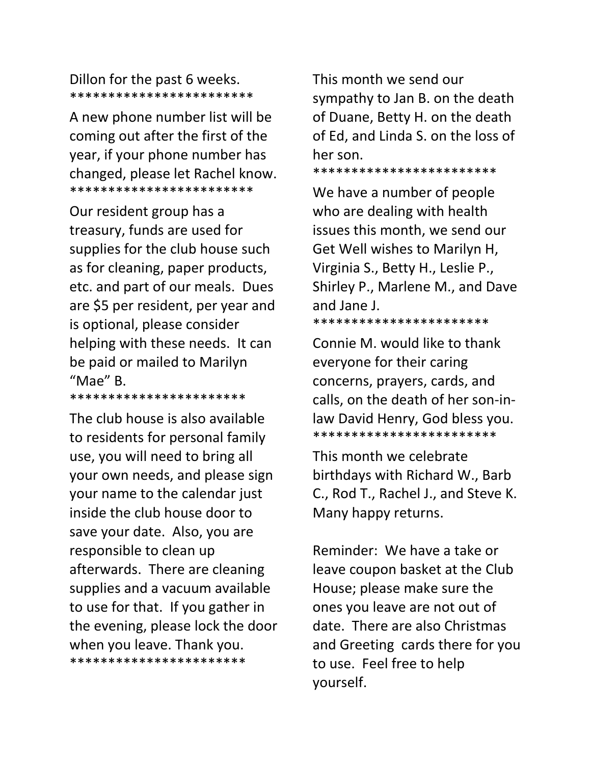### Dillon for the past 6 weeks. \*\*\*\*\*\*\*\*\*\*\*\*\*\*\*\*\*\*\*\*\*\*\*\*

A new phone number list will be coming out after the first of the year, if your phone number has changed, please let Rachel know. \*\*\*\*\*\*\*\*\*\*\*\*\*\*\*\*\*\*\*\*\*\*\*\*

Our resident group has a treasury, funds are used for supplies for the club house such as for cleaning, paper products, etc. and part of our meals. Dues are \$5 per resident, per year and is optional, please consider helping with these needs. It can be paid or mailed to Marilyn "Mae" B.

\*\*\*\*\*\*\*\*\*\*\*\*\*\*\*\*\*\*\*\*\*\*\*

The club house is also available to residents for personal family use, you will need to bring all your own needs, and please sign your name to the calendar just inside the club house door to save your date. Also, you are responsible to clean up afterwards. There are cleaning supplies and a vacuum available to use for that. If you gather in the evening, please lock the door when you leave. Thank you. \*\*\*\*\*\*\*\*\*\*\*\*\*\*\*\*\*\*\*\*\*\*\*

This month we send our sympathy to Jan B. on the death of Duane, Betty H. on the death of Ed, and Linda S. on the loss of her son.

\*\*\*\*\*\*\*\*\*\*\*\*\*\*\*\*\*\*\*\*\*\*\*\*

We have a number of people who are dealing with health issues this month, we send our Get Well wishes to Marilyn H, Virginia S., Betty H., Leslie P., Shirley P., Marlene M., and Dave and Jane J.

\*\*\*\*\*\*\*\*\*\*\*\*\*\*\*\*\*\*\*\*\*\*\*

Connie M. would like to thank everyone for their caring concerns, prayers, cards, and calls, on the death of her son-inlaw David Henry, God bless you. \*\*\*\*\*\*\*\*\*\*\*\*\*\*\*\*\*\*\*\*\*\*\*\*

This month we celebrate birthdays with Richard W., Barb C., Rod T., Rachel J., and Steve K. Many happy returns.

Reminder: We have a take or leave coupon basket at the Club House; please make sure the ones you leave are not out of date. There are also Christmas and Greeting cards there for you to use. Feel free to help yourself.